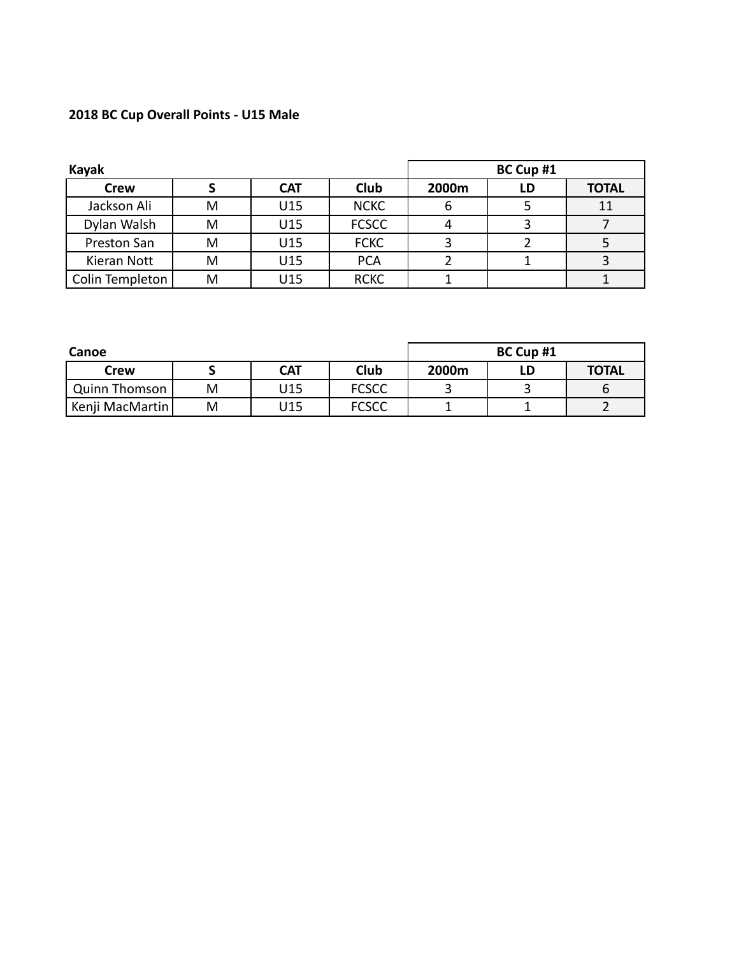# **2018 BC Cup Overall Points - U15 Male**

| Kayak           |   |            |              |       |    | BC Cup #1    |  |  |  |
|-----------------|---|------------|--------------|-------|----|--------------|--|--|--|
| <b>Crew</b>     |   | <b>CAT</b> | <b>Club</b>  | 2000m | LD | <b>TOTAL</b> |  |  |  |
| Jackson Ali     | M | U15        | <b>NCKC</b>  |       |    | 11           |  |  |  |
| Dylan Walsh     | м | U15        | <b>FCSCC</b> |       |    |              |  |  |  |
| Preston San     | м | U15        | <b>FCKC</b>  |       |    |              |  |  |  |
| Kieran Nott     | м | U15        | <b>PCA</b>   |       |    |              |  |  |  |
| Colin Templeton | M | U15        | <b>RCKC</b>  |       |    |              |  |  |  |

| Canoe           | BC Cup #1 |            |              |       |    |              |
|-----------------|-----------|------------|--------------|-------|----|--------------|
| Crew            |           | <b>CAT</b> | <b>Club</b>  | 2000m | LD | <b>TOTAL</b> |
| Quinn Thomson   | M         | 15ل        | <b>FCSCC</b> |       |    |              |
| Kenji MacMartin | M         | J15        | <b>FCSCC</b> |       |    |              |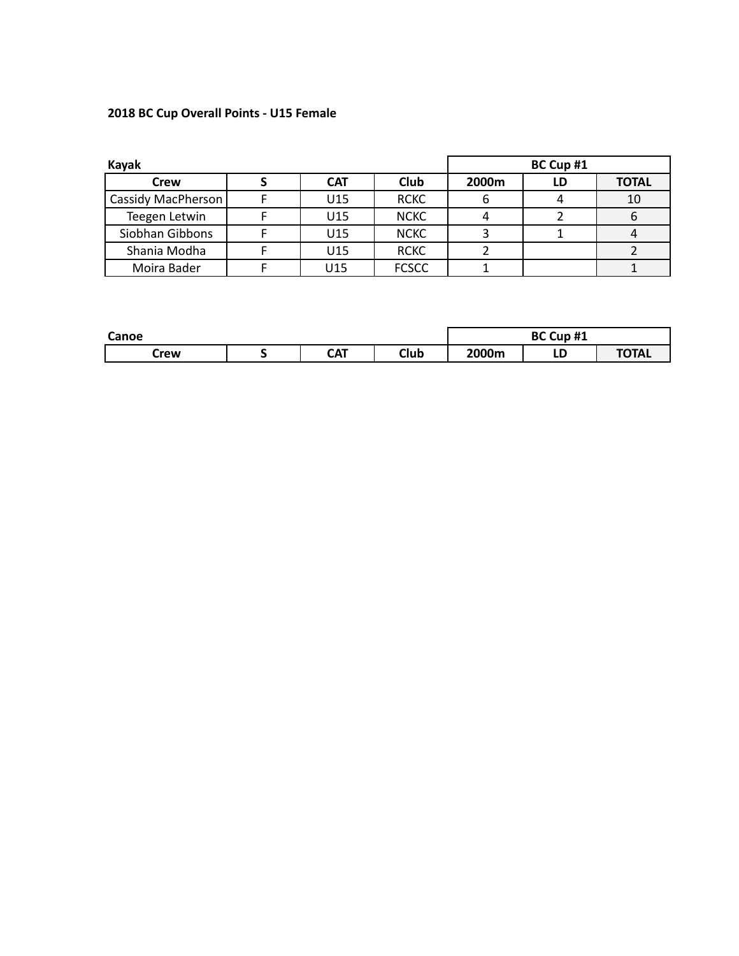### **2018 BC Cup Overall Points - U15 Female**

| Kayak              | BC Cup #1  |              |       |    |              |
|--------------------|------------|--------------|-------|----|--------------|
| <b>Crew</b>        | <b>CAT</b> | Club         | 2000m | LD | <b>TOTAL</b> |
| Cassidy MacPherson | U15        | <b>RCKC</b>  | b     |    | 10           |
| Teegen Letwin      | U15        | <b>NCKC</b>  |       |    | 6            |
| Siobhan Gibbons    | U15        | <b>NCKC</b>  |       |    |              |
| Shania Modha       | U15        | <b>RCKC</b>  |       |    |              |
| Moira Bader        | U15        | <b>FCSCC</b> |       |    |              |

| Canoe |  |            |      | BC Cup #1 |        |              |
|-------|--|------------|------|-----------|--------|--------------|
| Crew  |  | <b>CAT</b> | Club | 2000m     | Ð<br>ᄔ | <b>TOTAL</b> |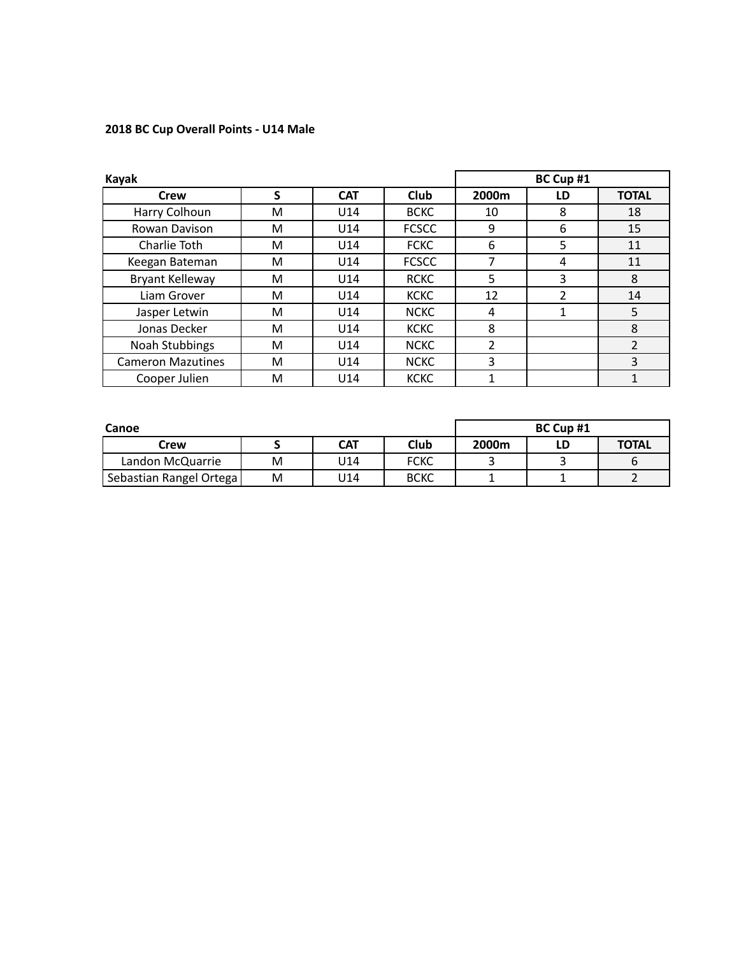### **2018 BC Cup Overall Points - U14 Male**

| Kayak                    |   |                 |              |                | BC Cup #1 |                |
|--------------------------|---|-----------------|--------------|----------------|-----------|----------------|
| Crew                     | S | <b>CAT</b>      | <b>Club</b>  | 2000m          | LD        | <b>TOTAL</b>   |
| Harry Colhoun            | M | U14             | <b>BCKC</b>  | 10             | 8         | 18             |
| Rowan Davison            | M | U14             | <b>FCSCC</b> | 9              | 6         | 15             |
| Charlie Toth             | м | U <sub>14</sub> | <b>FCKC</b>  | 6              | 5         | 11             |
| Keegan Bateman           | M | U <sub>14</sub> | <b>FCSCC</b> | 7              | 4         | 11             |
| Bryant Kelleway          | м | U14             | <b>RCKC</b>  | 5              | 3         | 8              |
| Liam Grover              | м | U <sub>14</sub> | <b>KCKC</b>  | 12             | 2         | 14             |
| Jasper Letwin            | M | U <sub>14</sub> | <b>NCKC</b>  | 4              | 1         | 5              |
| Jonas Decker             | M | U <sub>14</sub> | <b>KCKC</b>  | 8              |           | 8              |
| <b>Noah Stubbings</b>    | M | U14             | <b>NCKC</b>  | $\mathfrak{p}$ |           | $\overline{2}$ |
| <b>Cameron Mazutines</b> | м | U <sub>14</sub> | <b>NCKC</b>  | 3              |           | 3              |
| Cooper Julien            | M | U14             | <b>KCKC</b>  |                |           |                |

| Canoe                   | BC Cup #1 |     |             |       |  |              |
|-------------------------|-----------|-----|-------------|-------|--|--------------|
| Crew                    |           | CAT | <b>Club</b> | 2000m |  | <b>TOTAL</b> |
| Landon McQuarrie        | м         | U14 | <b>FCKC</b> |       |  |              |
| Sebastian Rangel Ortega | M         | U14 | <b>BCKC</b> |       |  |              |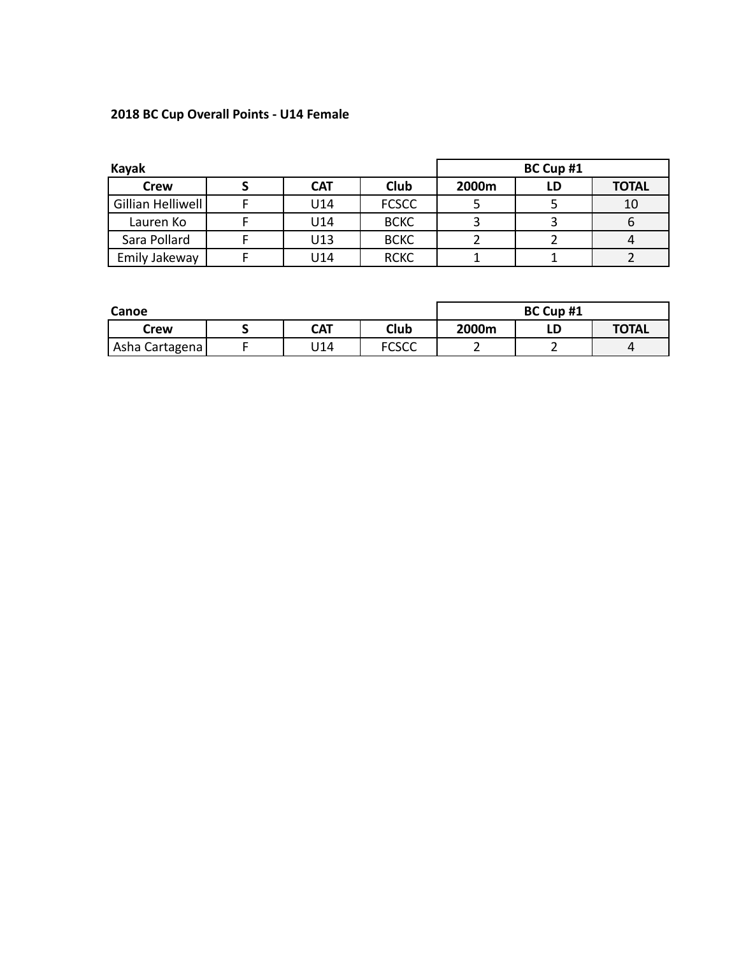## **2018 BC Cup Overall Points - U14 Female**

| Kayak             | BC Cup #1  |              |       |    |              |
|-------------------|------------|--------------|-------|----|--------------|
| Crew              | <b>CAT</b> | Club         | 2000m | LD | <b>TOTAL</b> |
| Gillian Helliwell | U14        | <b>FCSCC</b> |       |    | 10           |
| Lauren Ko         | U14        | <b>BCKC</b>  |       |    |              |
| Sara Pollard      | U13        | <b>BCKC</b>  |       |    |              |
| Emily Jakeway     | U14        | <b>RCKC</b>  |       |    |              |

| Canoe          |  |            |              | BC Cup #1 |  |              |  |
|----------------|--|------------|--------------|-----------|--|--------------|--|
| Crew           |  | <b>CAT</b> | Club         | 2000m     |  | <b>TOTAL</b> |  |
| Asha Cartagena |  | U14        | <b>FCSCC</b> |           |  |              |  |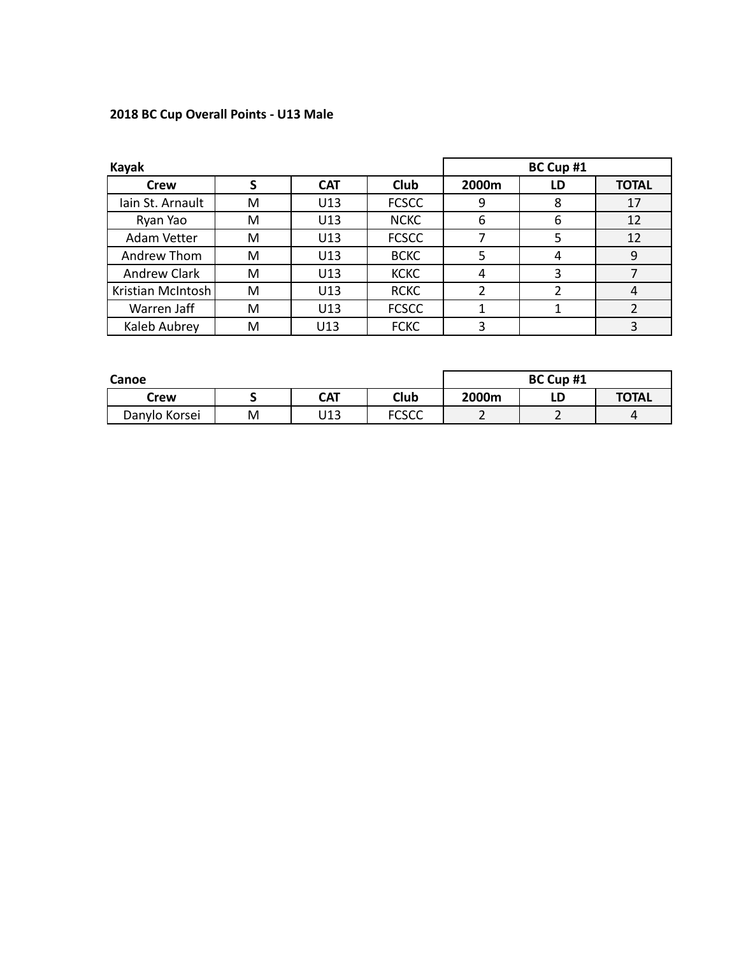## **2018 BC Cup Overall Points - U13 Male**

| <b>Kayak</b>      |   |            |              | BC Cup #1 |    |              |  |
|-------------------|---|------------|--------------|-----------|----|--------------|--|
| <b>Crew</b>       |   | <b>CAT</b> | <b>Club</b>  | 2000m     | LD | <b>TOTAL</b> |  |
| Iain St. Arnault  | M | U13        | <b>FCSCC</b> | 9         | 8  | 17           |  |
| Ryan Yao          | м | U13        | <b>NCKC</b>  | 6         | 6  | 12           |  |
| Adam Vetter       | M | U13        | <b>FCSCC</b> |           | 5  | 12           |  |
| Andrew Thom       | м | U13        | <b>BCKC</b>  |           | 4  | 9            |  |
| Andrew Clark      | м | U13        | <b>KCKC</b>  | 4         |    |              |  |
| Kristian McIntosh | м | U13        | <b>RCKC</b>  |           |    |              |  |
| Warren Jaff       | M | U13        | <b>FCSCC</b> |           |    |              |  |
| Kaleb Aubrey      | M | U13        | <b>FCKC</b>  | 3         |    |              |  |

| Canoe         |   |            |              | BC Cup #1 |    |              |  |
|---------------|---|------------|--------------|-----------|----|--------------|--|
| Crew          |   | <b>CAT</b> | Club         | 2000m     | LD | <b>TOTAL</b> |  |
| Danylo Korsei | M | U13        | <b>FCSCC</b> |           |    |              |  |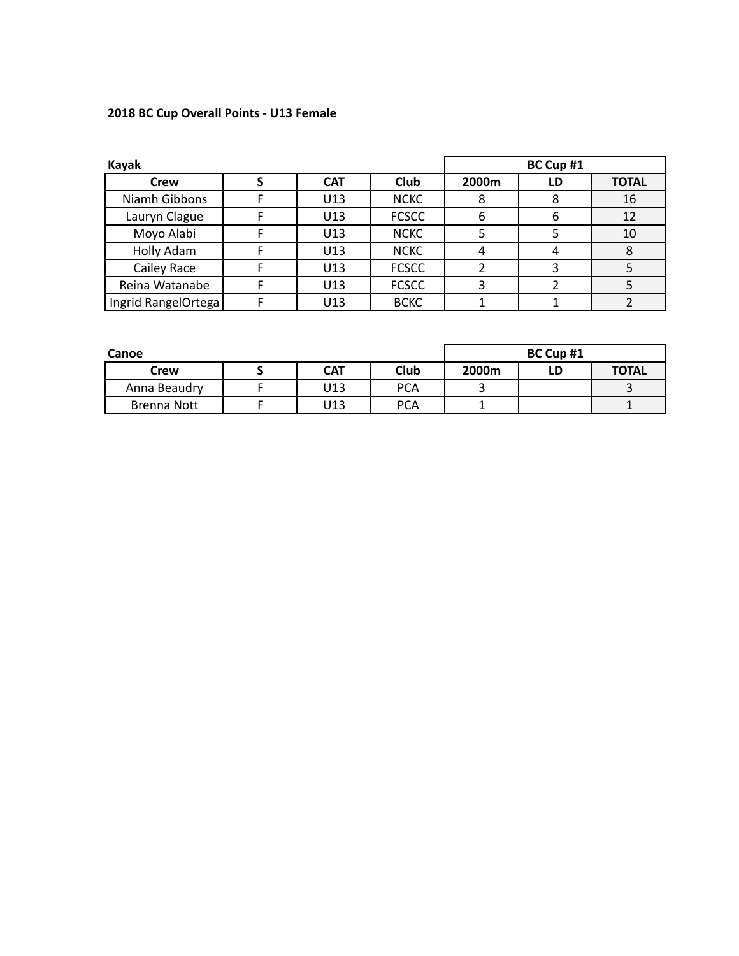### **2018 BC Cup Overall Points - U13 Female**

| Kayak               |  | BC Cup #1  |              |       |    |              |
|---------------------|--|------------|--------------|-------|----|--------------|
| <b>Crew</b>         |  | <b>CAT</b> | Club         | 2000m | LD | <b>TOTAL</b> |
| Niamh Gibbons       |  | U13        | <b>NCKC</b>  | 8     | 8  | 16           |
| Lauryn Clague       |  | U13        | <b>FCSCC</b> | b     | 6  | 12           |
| Moyo Alabi          |  | U13        | <b>NCKC</b>  |       |    | 10           |
| Holly Adam          |  | U13        | <b>NCKC</b>  |       |    | 8            |
| Cailey Race         |  | U13        | <b>FCSCC</b> |       |    |              |
| Reina Watanabe      |  | U13        | <b>FCSCC</b> |       |    |              |
| Ingrid RangelOrtega |  | U13        | <b>BCKC</b>  |       |    |              |

| Canoe        | BC Cup #1  |            |       |    |              |
|--------------|------------|------------|-------|----|--------------|
| Crew         | <b>CAT</b> | Club       | 2000m | LD | <b>TOTAL</b> |
| Anna Beaudry | U13        | <b>PCA</b> |       |    |              |
| Brenna Nott  | U13        | <b>PCA</b> |       |    |              |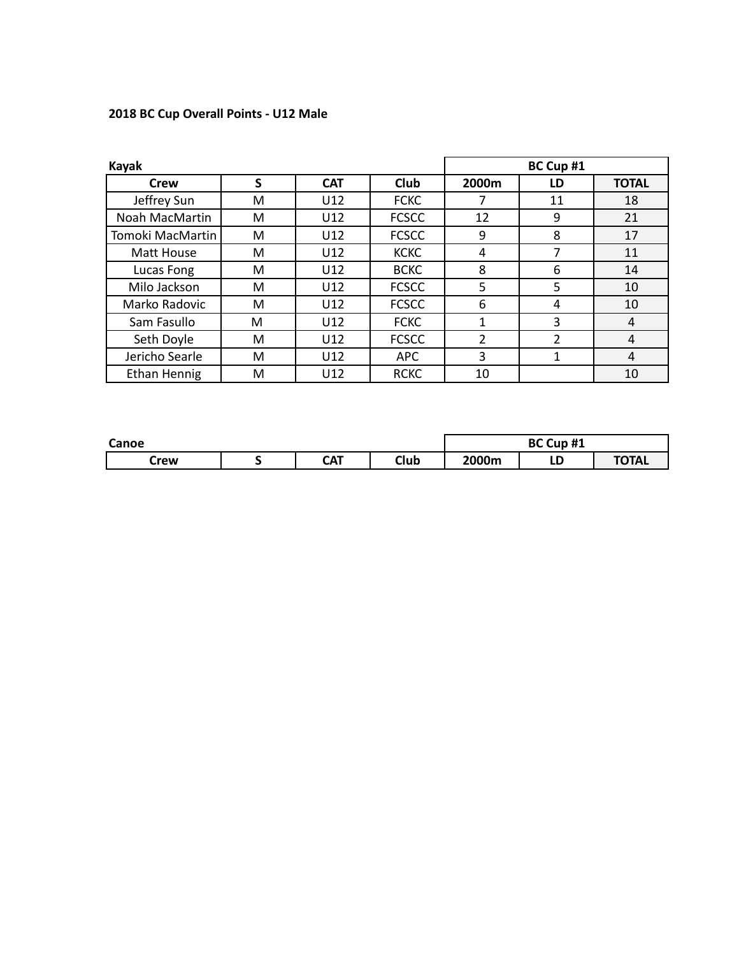### **2018 BC Cup Overall Points - U12 Male**

| Kayak               |   |            |              |                | BC Cup #1      |              |
|---------------------|---|------------|--------------|----------------|----------------|--------------|
| <b>Crew</b>         | S | <b>CAT</b> | <b>Club</b>  | 2000m          | LD             | <b>TOTAL</b> |
| Jeffrey Sun         | M | U12        | <b>FCKC</b>  |                | 11             | 18           |
| Noah MacMartin      | М | U12        | <b>FCSCC</b> | 12             | 9              | 21           |
| Tomoki MacMartin    | M | U12        | <b>FCSCC</b> | 9              | 8              | 17           |
| Matt House          | М | U12        | <b>KCKC</b>  | 4              | 7              | 11           |
| Lucas Fong          | M | U12        | <b>BCKC</b>  | 8              | 6              | 14           |
| Milo Jackson        | М | U12        | <b>FCSCC</b> | 5              | 5              | 10           |
| Marko Radovic       | м | U12        | <b>FCSCC</b> | 6              | 4              | 10           |
| Sam Fasullo         | M | U12        | <b>FCKC</b>  | 1              | 3              | 4            |
| Seth Doyle          | M | U12        | <b>FCSCC</b> | $\overline{2}$ | $\overline{2}$ | 4            |
| Jericho Searle      | M | U12        | <b>APC</b>   | 3              | 1              | 4            |
| <b>Ethan Hennig</b> | M | U12        | <b>RCKC</b>  | 10             |                | 10           |

| Canoe |  |            |      | BC Cup #1 |        |              |
|-------|--|------------|------|-----------|--------|--------------|
| Crew  |  | <b>CAT</b> | Club | 2000m     | г<br>ᄖ | <b>TOTAL</b> |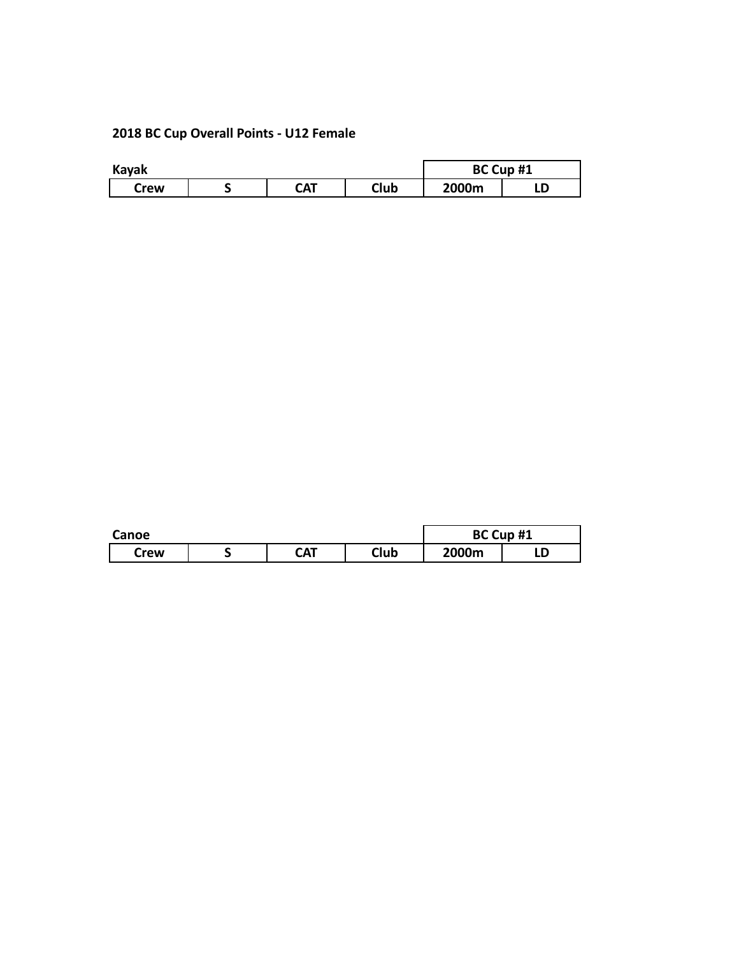## **2018 BC Cup Overall Points - U12 Female**

| Kayak |  | BC Cup #1 |      |       |   |
|-------|--|-----------|------|-------|---|
| Crew  |  | CAT       | Club | 2000m | ᄖ |

| Canoe |  | BC Cup #1  |      |       |   |
|-------|--|------------|------|-------|---|
| Crew  |  | <b>CAT</b> | Club | 2000m | ᄖ |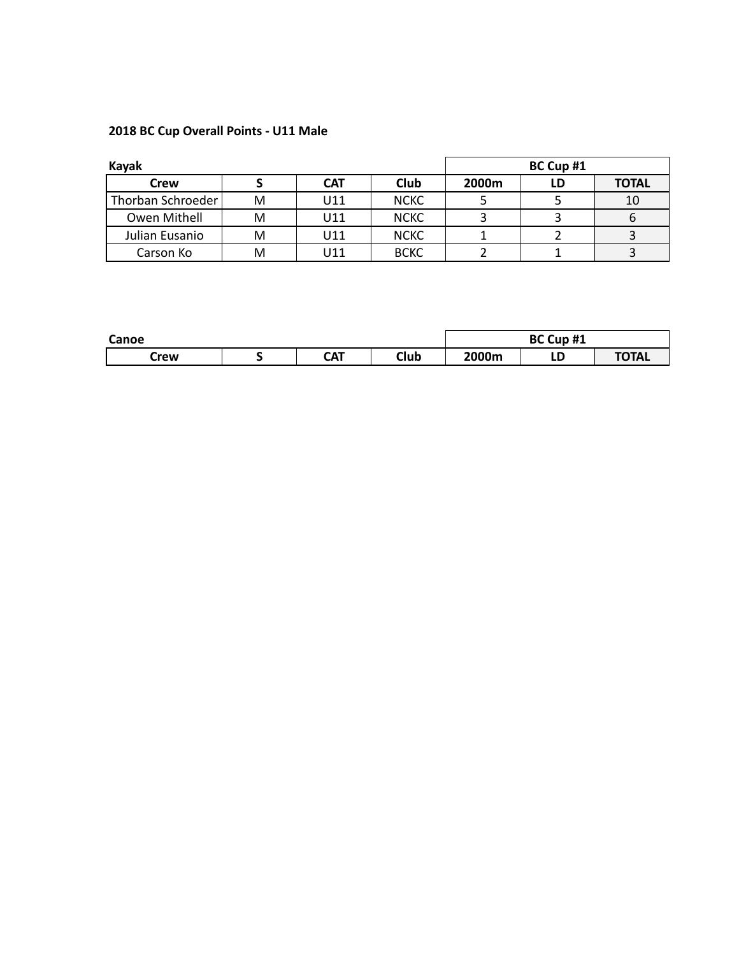### **2018 BC Cup Overall Points - U11 Male**

| Kayak             |   |            |             | BC Cup #1 |    |              |  |
|-------------------|---|------------|-------------|-----------|----|--------------|--|
| Crew              |   | <b>CAT</b> | Club        | 2000m     | LD | <b>TOTAL</b> |  |
| Thorban Schroeder | M | U11        | <b>NCKC</b> |           |    | 10           |  |
| Owen Mithell      | M | U11        | <b>NCKC</b> |           |    |              |  |
| Julian Eusanio    | м | U11        | <b>NCKC</b> |           |    |              |  |
| Carson Ko         | м | U11        | <b>BCKC</b> |           |    |              |  |

| Canoe |  |            |      | BC Cup #1 |        |              |
|-------|--|------------|------|-----------|--------|--------------|
| Crew  |  | <b>CAT</b> | Club | 2000m     | -<br>ᄔ | <b>TOTAL</b> |